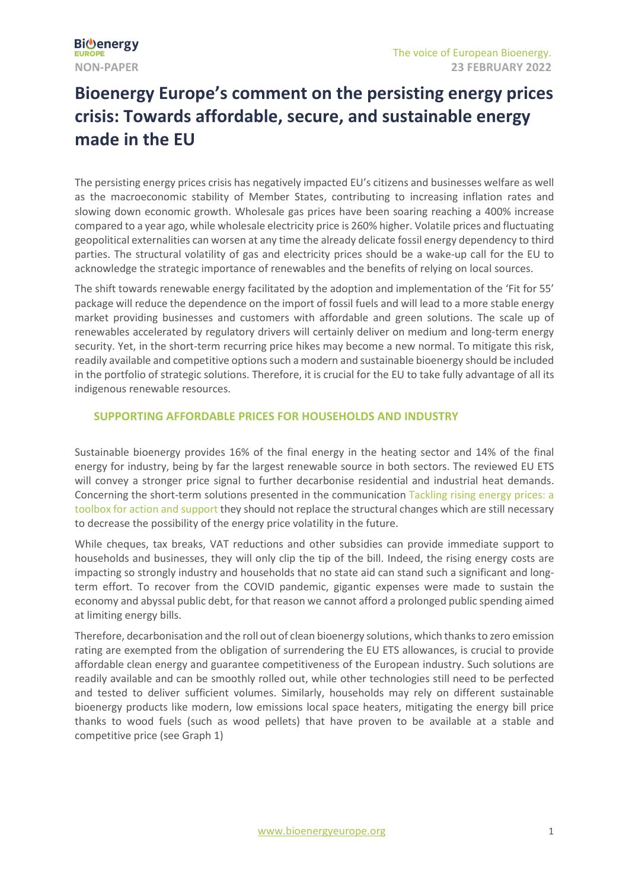# **Bioenergy Europe's comment on the persisting energy prices crisis: Towards affordable, secure, and sustainable energy made in the EU**

The persisting energy prices crisis has negatively impacted EU's citizens and businesses welfare as well as the macroeconomic stability of Member States, contributing to increasing inflation rates and slowing down economic growth. Wholesale gas prices have been soaring reaching a 400% increase compared to a year ago, while wholesale electricity price is 260% higher. Volatile prices and fluctuating geopolitical externalities can worsen at any time the already delicate fossil energy dependency to third parties. The structural volatility of gas and electricity prices should be a wake-up call for the EU to acknowledge the strategic importance of renewables and the benefits of relying on local sources.

The shift towards renewable energy facilitated by the adoption and implementation of the 'Fit for 55' package will reduce the dependence on the import of fossil fuels and will lead to a more stable energy market providing businesses and customers with affordable and green solutions. The scale up of renewables accelerated by regulatory drivers will certainly deliver on medium and long-term energy security. Yet, in the short-term recurring price hikes may become a new normal. To mitigate this risk, readily available and competitive options such a modern and sustainable bioenergy should be included in the portfolio of strategic solutions. Therefore, it is crucial for the EU to take fully advantage of all its indigenous renewable resources.

## **SUPPORTING AFFORDABLE PRICES FOR HOUSEHOLDS AND INDUSTRY**

Sustainable bioenergy provides 16% of the final energy in the heating sector and 14% of the final energy for industry, being by far the largest renewable source in both sectors. The reviewed EU ETS will convey a stronger price signal to further decarbonise residential and industrial heat demands. Concerning the short-term solutions presented in the communication [Tackling rising energy prices: a](https://eur-lex.europa.eu/legal-content/EN/TXT/PDF/?uri=CELEX:52021DC0660&from=EN)  [toolbox for action and support](https://eur-lex.europa.eu/legal-content/EN/TXT/PDF/?uri=CELEX:52021DC0660&from=EN) they should not replace the structural changes which are still necessary to decrease the possibility of the energy price volatility in the future.

While cheques, tax breaks, VAT reductions and other subsidies can provide immediate support to households and businesses, they will only clip the tip of the bill. Indeed, the rising energy costs are impacting so strongly industry and households that no state aid can stand such a significant and longterm effort. To recover from the COVID pandemic, gigantic expenses were made to sustain the economy and abyssal public debt, for that reason we cannot afford a prolonged public spending aimed at limiting energy bills.

Therefore, decarbonisation and the roll out of clean bioenergy solutions, which thanks to zero emission rating are exempted from the obligation of surrendering the EU ETS allowances, is crucial to provide affordable clean energy and guarantee competitiveness of the European industry. Such solutions are readily available and can be smoothly rolled out, while other technologies still need to be perfected and tested to deliver sufficient volumes. Similarly, households may rely on different sustainable bioenergy products like modern, low emissions local space heaters, mitigating the energy bill price thanks to wood fuels (such as wood pellets) that have proven to be available at a stable and competitive price (see Graph 1)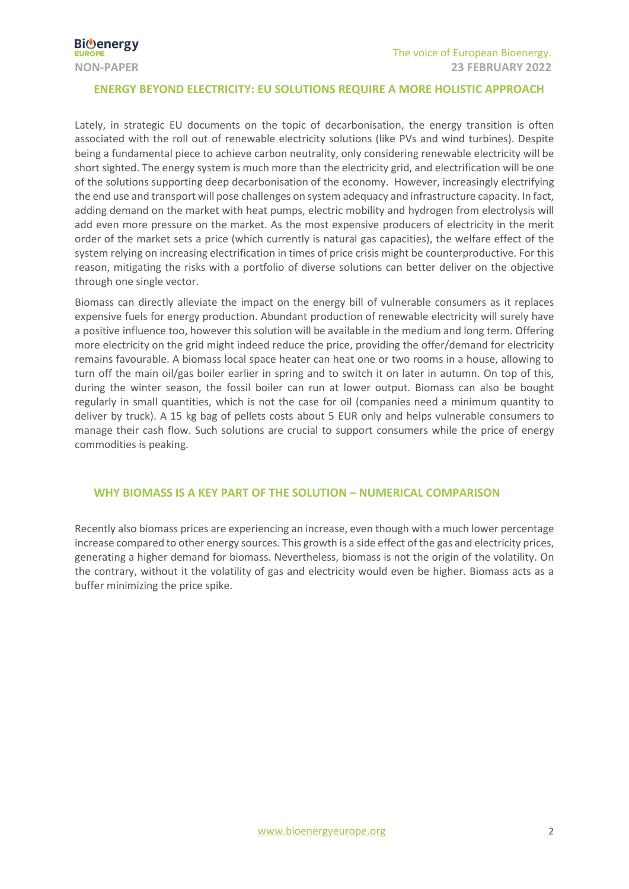#### **ENERGY BEYOND ELECTRICITY: EU SOLUTIONS REQUIRE A MORE HOLISTIC APPROACH**

Lately, in strategic EU documents on the topic of decarbonisation, the energy transition is often associated with the roll out of renewable electricity solutions (like PVs and wind turbines). Despite being a fundamental piece to achieve carbon neutrality, only considering renewable electricity will be short sighted. The energy system is much more than the electricity grid, and electrification will be one of the solutions supporting deep decarbonisation of the economy. However, increasingly electrifying the end use and transport will pose challenges on system adequacy and infrastructure capacity. In fact, adding demand on the market with heat pumps, electric mobility and hydrogen from electrolysis will add even more pressure on the market. As the most expensive producers of electricity in the merit order of the market sets a price (which currently is natural gas capacities), the welfare effect of the system relying on increasing electrification in times of price crisis might be counterproductive. For this reason, mitigating the risks with a portfolio of diverse solutions can better deliver on the objective through one single vector.

Biomass can directly alleviate the impact on the energy bill of vulnerable consumers as it replaces expensive fuels for energy production. Abundant production of renewable electricity will surely have a positive influence too, however this solution will be available in the medium and long term. Offering more electricity on the grid might indeed reduce the price, providing the offer/demand for electricity remains favourable. A biomass local space heater can heat one or two rooms in a house, allowing to turn off the main oil/gas boiler earlier in spring and to switch it on later in autumn. On top of this, during the winter season, the fossil boiler can run at lower output. Biomass can also be bought regularly in small quantities, which is not the case for oil (companies need a minimum quantity to deliver by truck). A 15 kg bag of pellets costs about 5 EUR only and helps vulnerable consumers to manage their cash flow. Such solutions are crucial to support consumers while the price of energy commodities is peaking.

#### **WHY BIOMASS IS A KEY PART OF THE SOLUTION – NUMERICAL COMPARISON**

Recently also biomass prices are experiencing an increase, even though with a much lower percentage increase compared to other energy sources. This growth is a side effect of the gas and electricity prices, generating a higher demand for biomass. Nevertheless, biomass is not the origin of the volatility. On the contrary, without it the volatility of gas and electricity would even be higher. Biomass acts as a buffer minimizing the price spike.